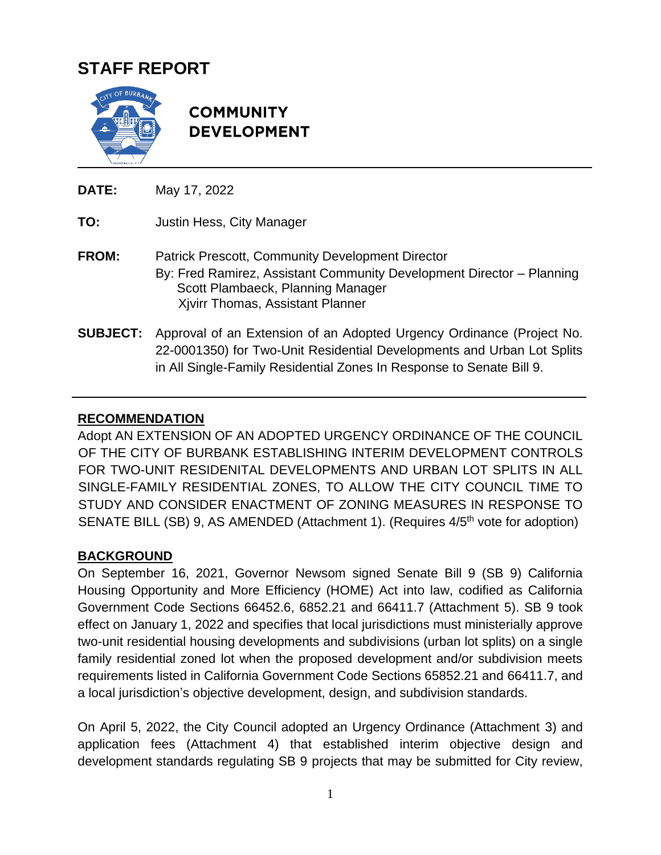# **STAFF REPORT**



**COMMUNITY DEVELOPMENT** 

**DATE:** May 17, 2022

**TO:** Justin Hess, City Manager

- **FROM:** Patrick Prescott, Community Development Director By: Fred Ramirez, Assistant Community Development Director – Planning Scott Plambaeck, Planning Manager Xjvirr Thomas, Assistant Planner
- **SUBJECT:** Approval of an Extension of an Adopted Urgency Ordinance (Project No. 22-0001350) for Two-Unit Residential Developments and Urban Lot Splits in All Single-Family Residential Zones In Response to Senate Bill 9.

### **RECOMMENDATION**

Adopt AN EXTENSION OF AN ADOPTED URGENCY ORDINANCE OF THE COUNCIL OF THE CITY OF BURBANK ESTABLISHING INTERIM DEVELOPMENT CONTROLS FOR TWO-UNIT RESIDENITAL DEVELOPMENTS AND URBAN LOT SPLITS IN ALL SINGLE-FAMILY RESIDENTIAL ZONES, TO ALLOW THE CITY COUNCIL TIME TO STUDY AND CONSIDER ENACTMENT OF ZONING MEASURES IN RESPONSE TO SENATE BILL (SB) 9, AS AMENDED (Attachment 1). (Requires 4/5<sup>th</sup> vote for adoption)

### **BACKGROUND**

On September 16, 2021, Governor Newsom signed Senate Bill 9 (SB 9) California Housing Opportunity and More Efficiency (HOME) Act into law, codified as California Government Code Sections 66452.6, 6852.21 and 66411.7 (Attachment 5). SB 9 took effect on January 1, 2022 and specifies that local jurisdictions must ministerially approve two-unit residential housing developments and subdivisions (urban lot splits) on a single family residential zoned lot when the proposed development and/or subdivision meets requirements listed in California Government Code Sections 65852.21 and 66411.7, and a local jurisdiction's objective development, design, and subdivision standards.

On April 5, 2022, the City Council adopted an Urgency Ordinance (Attachment 3) and application fees (Attachment 4) that established interim objective design and development standards regulating SB 9 projects that may be submitted for City review,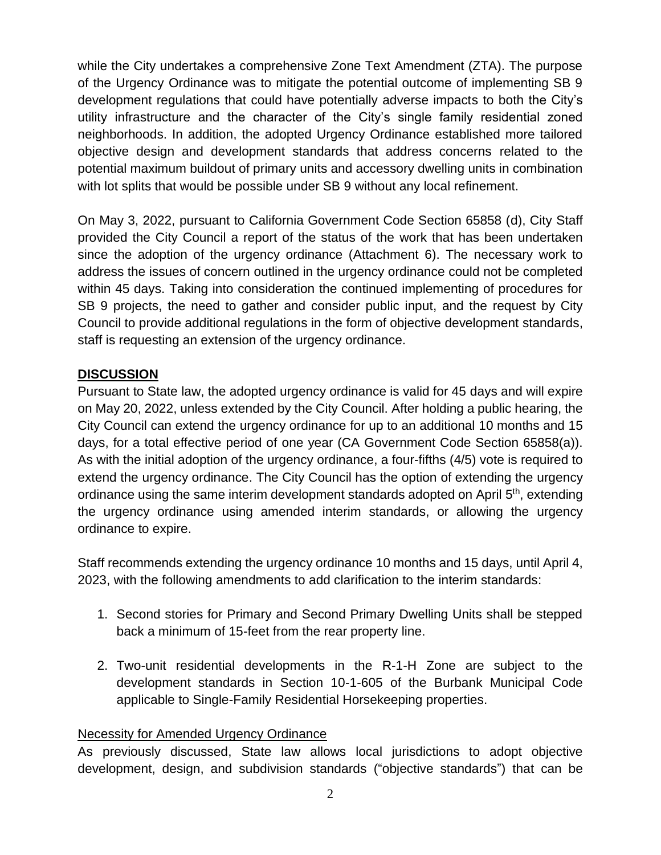while the City undertakes a comprehensive Zone Text Amendment (ZTA). The purpose of the Urgency Ordinance was to mitigate the potential outcome of implementing SB 9 development regulations that could have potentially adverse impacts to both the City's utility infrastructure and the character of the City's single family residential zoned neighborhoods. In addition, the adopted Urgency Ordinance established more tailored objective design and development standards that address concerns related to the potential maximum buildout of primary units and accessory dwelling units in combination with lot splits that would be possible under SB 9 without any local refinement.

On May 3, 2022, pursuant to California Government Code Section 65858 (d), City Staff provided the City Council a report of the status of the work that has been undertaken since the adoption of the urgency ordinance (Attachment 6). The necessary work to address the issues of concern outlined in the urgency ordinance could not be completed within 45 days. Taking into consideration the continued implementing of procedures for SB 9 projects, the need to gather and consider public input, and the request by City Council to provide additional regulations in the form of objective development standards, staff is requesting an extension of the urgency ordinance.

### **DISCUSSION**

Pursuant to State law, the adopted urgency ordinance is valid for 45 days and will expire on May 20, 2022, unless extended by the City Council. After holding a public hearing, the City Council can extend the urgency ordinance for up to an additional 10 months and 15 days, for a total effective period of one year (CA Government Code Section 65858(a)). As with the initial adoption of the urgency ordinance, a four-fifths (4/5) vote is required to extend the urgency ordinance. The City Council has the option of extending the urgency ordinance using the same interim development standards adopted on April 5<sup>th</sup>, extending the urgency ordinance using amended interim standards, or allowing the urgency ordinance to expire.

Staff recommends extending the urgency ordinance 10 months and 15 days, until April 4, 2023, with the following amendments to add clarification to the interim standards:

- 1. Second stories for Primary and Second Primary Dwelling Units shall be stepped back a minimum of 15-feet from the rear property line.
- 2. Two-unit residential developments in the R-1-H Zone are subject to the development standards in Section 10-1-605 of the Burbank Municipal Code applicable to Single-Family Residential Horsekeeping properties.

### Necessity for Amended Urgency Ordinance

As previously discussed, State law allows local jurisdictions to adopt objective development, design, and subdivision standards ("objective standards") that can be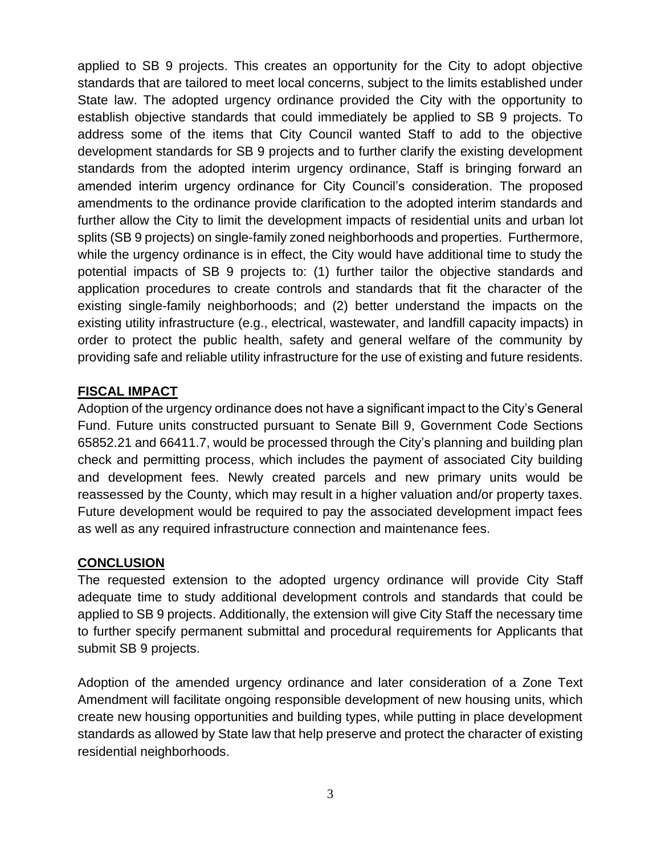applied to SB 9 projects. This creates an opportunity for the City to adopt objective standards that are tailored to meet local concerns, subject to the limits established under State law. The adopted urgency ordinance provided the City with the opportunity to establish objective standards that could immediately be applied to SB 9 projects. To address some of the items that City Council wanted Staff to add to the objective development standards for SB 9 projects and to further clarify the existing development standards from the adopted interim urgency ordinance, Staff is bringing forward an amended interim urgency ordinance for City Council's consideration. The proposed amendments to the ordinance provide clarification to the adopted interim standards and further allow the City to limit the development impacts of residential units and urban lot splits (SB 9 projects) on single-family zoned neighborhoods and properties. Furthermore, while the urgency ordinance is in effect, the City would have additional time to study the potential impacts of SB 9 projects to: (1) further tailor the objective standards and application procedures to create controls and standards that fit the character of the existing single-family neighborhoods; and (2) better understand the impacts on the existing utility infrastructure (e.g., electrical, wastewater, and landfill capacity impacts) in order to protect the public health, safety and general welfare of the community by providing safe and reliable utility infrastructure for the use of existing and future residents.

### **FISCAL IMPACT**

Adoption of the urgency ordinance does not have a significant impact to the City's General Fund. Future units constructed pursuant to Senate Bill 9, Government Code Sections 65852.21 and 66411.7, would be processed through the City's planning and building plan check and permitting process, which includes the payment of associated City building and development fees. Newly created parcels and new primary units would be reassessed by the County, which may result in a higher valuation and/or property taxes. Future development would be required to pay the associated development impact fees as well as any required infrastructure connection and maintenance fees.

#### **CONCLUSION**

The requested extension to the adopted urgency ordinance will provide City Staff adequate time to study additional development controls and standards that could be applied to SB 9 projects. Additionally, the extension will give City Staff the necessary time to further specify permanent submittal and procedural requirements for Applicants that submit SB 9 projects.

Adoption of the amended urgency ordinance and later consideration of a Zone Text Amendment will facilitate ongoing responsible development of new housing units, which create new housing opportunities and building types, while putting in place development standards as allowed by State law that help preserve and protect the character of existing residential neighborhoods.